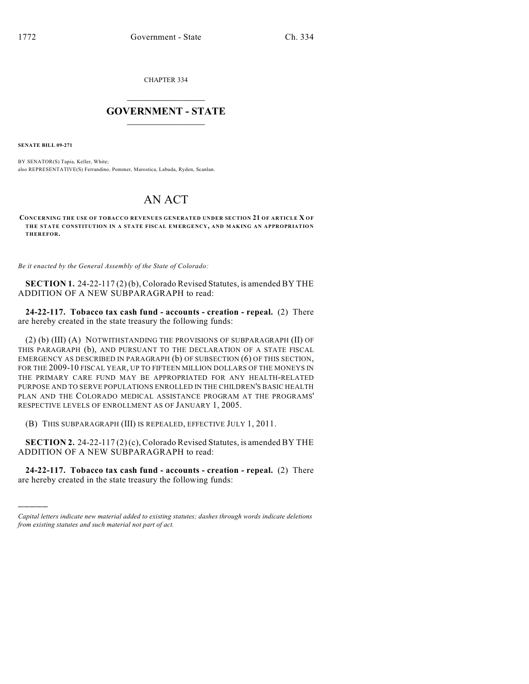CHAPTER 334

## $\mathcal{L}_\text{max}$  . The set of the set of the set of the set of the set of the set of the set of the set of the set of the set of the set of the set of the set of the set of the set of the set of the set of the set of the set **GOVERNMENT - STATE**  $\_$   $\_$   $\_$   $\_$   $\_$   $\_$   $\_$   $\_$   $\_$

**SENATE BILL 09-271**

)))))

BY SENATOR(S) Tapia, Keller, White; also REPRESENTATIVE(S) Ferrandino, Pommer, Marostica, Labuda, Ryden, Scanlan.

## AN ACT

**CONCERNING THE USE OF TOBACCO REVENUES GENERATED UNDER SECTION 21 OF ARTICLE X OF THE STATE CONSTITUTION IN A STATE FISCAL EMERGENCY, AND MAK ING AN APPROPRIATIO N THEREFOR.**

*Be it enacted by the General Assembly of the State of Colorado:*

**SECTION 1.** 24-22-117 (2) (b), Colorado Revised Statutes, is amended BY THE ADDITION OF A NEW SUBPARAGRAPH to read:

**24-22-117. Tobacco tax cash fund - accounts - creation - repeal.** (2) There are hereby created in the state treasury the following funds:

(2) (b) (III) (A) NOTWITHSTANDING THE PROVISIONS OF SUBPARAGRAPH (II) OF THIS PARAGRAPH (b), AND PURSUANT TO THE DECLARATION OF A STATE FISCAL EMERGENCY AS DESCRIBED IN PARAGRAPH (b) OF SUBSECTION (6) OF THIS SECTION, FOR THE 2009-10 FISCAL YEAR, UP TO FIFTEEN MILLION DOLLARS OF THE MONEYS IN THE PRIMARY CARE FUND MAY BE APPROPRIATED FOR ANY HEALTH-RELATED PURPOSE AND TO SERVE POPULATIONS ENROLLED IN THE CHILDREN'S BASIC HEALTH PLAN AND THE COLORADO MEDICAL ASSISTANCE PROGRAM AT THE PROGRAMS' RESPECTIVE LEVELS OF ENROLLMENT AS OF JANUARY 1, 2005.

(B) THIS SUBPARAGRAPH (III) IS REPEALED, EFFECTIVE JULY 1, 2011.

**SECTION 2.** 24-22-117 (2) (c), Colorado Revised Statutes, is amended BY THE ADDITION OF A NEW SUBPARAGRAPH to read:

**24-22-117. Tobacco tax cash fund - accounts - creation - repeal.** (2) There are hereby created in the state treasury the following funds:

*Capital letters indicate new material added to existing statutes; dashes through words indicate deletions from existing statutes and such material not part of act.*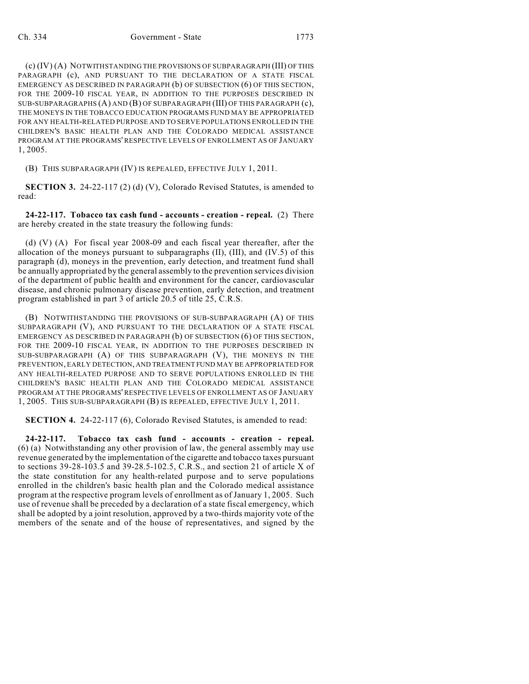(c) (IV) (A) NOTWITHSTANDING THE PROVISIONS OF SUBPARAGRAPH (III) OF THIS PARAGRAPH (c), AND PURSUANT TO THE DECLARATION OF A STATE FISCAL EMERGENCY AS DESCRIBED IN PARAGRAPH (b) OF SUBSECTION (6) OF THIS SECTION, FOR THE 2009-10 FISCAL YEAR, IN ADDITION TO THE PURPOSES DESCRIBED IN SUB-SUBPARAGRAPHS (A) AND (B) OF SUBPARAGRAPH (III) OF THIS PARAGRAPH (c), THE MONEYS IN THE TOBACCO EDUCATION PROGRAMS FUND MAY BE APPROPRIATED FOR ANY HEALTH-RELATED PURPOSE AND TO SERVE POPULATIONS ENROLLED IN THE CHILDREN'S BASIC HEALTH PLAN AND THE COLORADO MEDICAL ASSISTANCE PROGRAM AT THE PROGRAMS' RESPECTIVE LEVELS OF ENROLLMENT AS OF JANUARY 1, 2005.

(B) THIS SUBPARAGRAPH (IV) IS REPEALED, EFFECTIVE JULY 1, 2011.

**SECTION 3.** 24-22-117 (2) (d) (V), Colorado Revised Statutes, is amended to read:

**24-22-117. Tobacco tax cash fund - accounts - creation - repeal.** (2) There are hereby created in the state treasury the following funds:

(d) (V) (A) For fiscal year 2008-09 and each fiscal year thereafter, after the allocation of the moneys pursuant to subparagraphs (II), (III), and (IV.5) of this paragraph (d), moneys in the prevention, early detection, and treatment fund shall be annually appropriated by the general assembly to the prevention services division of the department of public health and environment for the cancer, cardiovascular disease, and chronic pulmonary disease prevention, early detection, and treatment program established in part 3 of article 20.5 of title 25, C.R.S.

(B) NOTWITHSTANDING THE PROVISIONS OF SUB-SUBPARAGRAPH (A) OF THIS SUBPARAGRAPH (V), AND PURSUANT TO THE DECLARATION OF A STATE FISCAL EMERGENCY AS DESCRIBED IN PARAGRAPH (b) OF SUBSECTION (6) OF THIS SECTION, FOR THE 2009-10 FISCAL YEAR, IN ADDITION TO THE PURPOSES DESCRIBED IN SUB-SUBPARAGRAPH (A) OF THIS SUBPARAGRAPH (V), THE MONEYS IN THE PREVENTION, EARLY DETECTION, AND TREATMENT FUND MAY BE APPROPRIATED FOR ANY HEALTH-RELATED PURPOSE AND TO SERVE POPULATIONS ENROLLED IN THE CHILDREN'S BASIC HEALTH PLAN AND THE COLORADO MEDICAL ASSISTANCE PROGRAM AT THE PROGRAMS' RESPECTIVE LEVELS OF ENROLLMENT AS OF JANUARY 1, 2005. THIS SUB-SUBPARAGRAPH (B) IS REPEALED, EFFECTIVE JULY 1, 2011.

**SECTION 4.** 24-22-117 (6), Colorado Revised Statutes, is amended to read:

**24-22-117. Tobacco tax cash fund - accounts - creation - repeal.** (6) (a) Notwithstanding any other provision of law, the general assembly may use revenue generated by the implementation of the cigarette and tobacco taxes pursuant to sections 39-28-103.5 and 39-28.5-102.5, C.R.S., and section 21 of article X of the state constitution for any health-related purpose and to serve populations enrolled in the children's basic health plan and the Colorado medical assistance program at the respective program levels of enrollment as of January 1, 2005. Such use of revenue shall be preceded by a declaration of a state fiscal emergency, which shall be adopted by a joint resolution, approved by a two-thirds majority vote of the members of the senate and of the house of representatives, and signed by the